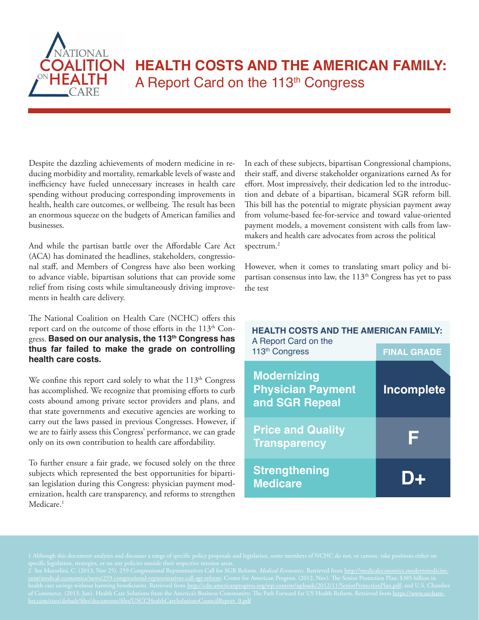

# **HEALTH COSTS AND THE AMERICAN FAMILY:** A Report Card on the 113<sup>th</sup> Congress

Despite the dazzling achievements of modern medicine in reducing morbidity and mortality, remarkable levels of waste and inefficiency have fueled unnecessary increases in health care spending without producing corresponding improvements in health, health care outcomes, or wellbeing. The result has been an enormous squeeze on the budgets of American families and businesses.

And while the partisan battle over the Affordable Care Act (ACA) has dominated the headlines, stakeholders, congressional staff, and Members of Congress have also been working to advance viable, bipartisan solutions that can provide some relief from rising costs while simultaneously driving improvements in health care delivery.

The National Coalition on Health Care (NCHC) offers this report card on the outcome of those efforts in the 113<sup>th</sup> Congress. **Based on our analysis, the 113th Congress has thus far failed to make the grade on controlling health care costs.**

We confine this report card solely to what the  $113<sup>th</sup>$  Congress has accomplished. We recognize that promising efforts to curb costs abound among private sector providers and plans, and that state governments and executive agencies are working to carry out the laws passed in previous Congresses. However, if we are to fairly assess this Congress' performance, we can grade only on its own contribution to health care affordability.

To further ensure a fair grade, we focused solely on the three subjects which represented the best opportunities for bipartisan legislation during this Congress: physician payment modernization, health care transparency, and reforms to strengthen Medicare.<sup>1</sup>

In each of these subjects, bipartisan Congressional champions, their staff, and diverse stakeholder organizations earned As for effort. Most impressively, their dedication led to the introduction and debate of a bipartisan, bicameral SGR reform bill. This bill has the potential to migrate physician payment away from volume-based fee-for-service and toward value-oriented payment models, a movement consistent with calls from lawmakers and health care advocates from across the political spectrum.2

However, when it comes to translating smart policy and bipartisan consensus into law, the 113<sup>th</sup> Congress has yet to pass the test

| <b>HEALTH COSTS AND THE AMERICAN FAMILY:</b><br>A Report Card on the |                    |
|----------------------------------------------------------------------|--------------------|
| 113 <sup>th</sup> Congress                                           | <b>FINAL GRADE</b> |
| <b>Modernizing</b><br><b>Physician Payment</b><br>and SGR Repeal     | Incomplete         |
| <b>Price and Quality</b><br><b>Transparency</b>                      |                    |
| <b>Strengthening</b><br><b>Medicare</b>                              |                    |

2 See Mazzolini, C. (2013, Nov 25). 259 Congressional Representatives Call for SGR Reform. *Medical Economics*. Retrieved from http://medicaleconomics.modernmedicine. health care savings without harming beneficiaries. Retrieved from <u>http://cdn.americanprogress.org/wp-content/uploads/2012/11/SeniorProtectionPlan.pdf;</u> and U.S. Chamber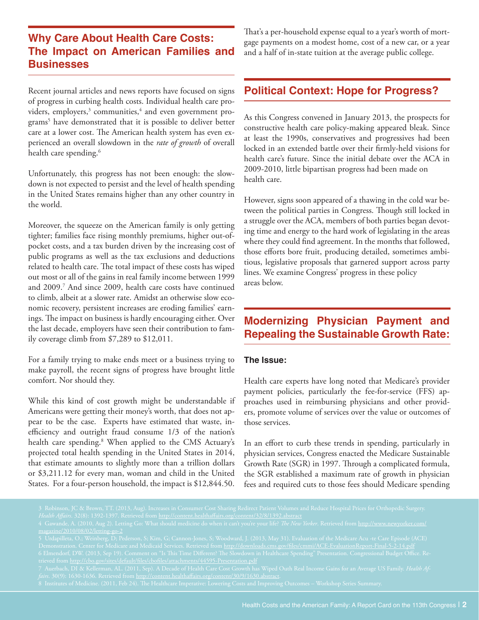# **Why Care About Health Care Costs: The Impact on American Families and Businesses**

Recent journal articles and news reports have focused on signs of progress in curbing health costs. Individual health care providers, employers,<sup>3</sup> communities,<sup>4</sup> and even government programs5 have demonstrated that it is possible to deliver better care at a lower cost. The American health system has even experienced an overall slowdown in the *rate of growth* of overall health care spending.<sup>6</sup>

Unfortunately, this progress has not been enough: the slowdown is not expected to persist and the level of health spending in the United States remains higher than any other country in the world.

Moreover, the squeeze on the American family is only getting tighter; families face rising monthly premiums, higher out-ofpocket costs, and a tax burden driven by the increasing cost of public programs as well as the tax exclusions and deductions related to health care. The total impact of these costs has wiped out most or all of the gains in real family income between 1999 and 2009.7 And since 2009, health care costs have continued to climb, albeit at a slower rate. Amidst an otherwise slow economic recovery, persistent increases are eroding families' earnings. The impact on business is hardly encouraging either. Over the last decade, employers have seen their contribution to family coverage climb from \$7,289 to \$12,011.

For a family trying to make ends meet or a business trying to make payroll, the recent signs of progress have brought little comfort. Nor should they.

While this kind of cost growth might be understandable if Americans were getting their money's worth, that does not appear to be the case. Experts have estimated that waste, inefficiency and outright fraud consume 1/3 of the nation's health care spending.8 When applied to the CMS Actuary's projected total health spending in the United States in 2014, that estimate amounts to slightly more than a trillion dollars or \$3,211.12 for every man, woman and child in the United States. For a four-person household, the impact is \$12,844.50.

That's a per-household expense equal to a year's worth of mortgage payments on a modest home, cost of a new car, or a year and a half of in-state tuition at the average public college.

### **Political Context: Hope for Progress?**

As this Congress convened in January 2013, the prospects for constructive health care policy-making appeared bleak. Since at least the 1990s, conservatives and progressives had been locked in an extended battle over their firmly-held visions for health care's future. Since the initial debate over the ACA in 2009-2010, little bipartisan progress had been made on health care.

However, signs soon appeared of a thawing in the cold war between the political parties in Congress. Though still locked in a struggle over the ACA, members of both parties began devoting time and energy to the hard work of legislating in the areas where they could find agreement. In the months that followed, those efforts bore fruit, producing detailed, sometimes ambitious, legislative proposals that garnered support across party lines. We examine Congress' progress in these policy areas below.

## **Modernizing Physician Payment and Repealing the Sustainable Growth Rate:**

#### **The Issue:**

Health care experts have long noted that Medicare's provider payment policies, particularly the fee-for-service (FFS) approaches used in reimbursing physicians and other providers, promote volume of services over the value or outcomes of those services.

In an effort to curb these trends in spending, particularly in physician services, Congress enacted the Medicare Sustainable Growth Rate (SGR) in 1997. Through a complicated formula, the SGR established a maximum rate of growth in physician fees and required cuts to those fees should Medicare spending

*Health Affairs*. 32(8): 1392-1397. Retrieved from http://content.healthaffairs.org/content/32/8/1392.abstract

Demonstration. Center for Medicare and Medicaid Services. Retrieved from <u>http://downloads.cms.gov/files/cmmi/ACE-EvaluationReport-Final-5-2-14.pdf</u>

*fairs*. 30(9): 1630-1636. Retrieved from http://content.healthaffairs.org/content/30/9/1630.abstract.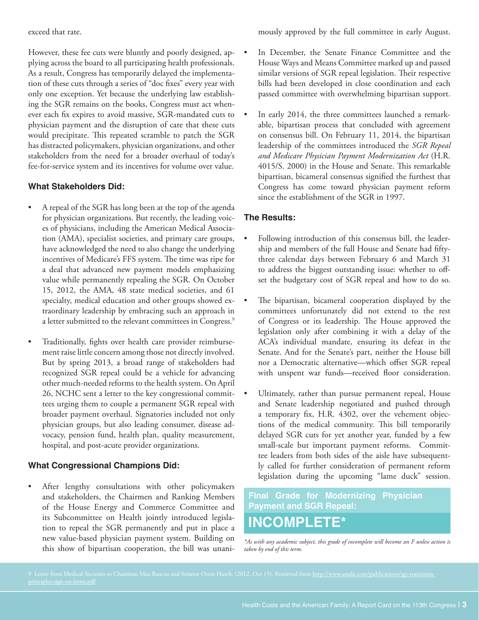exceed that rate.

However, these fee cuts were bluntly and poorly designed, applying across the board to all participating health professionals. As a result, Congress has temporarily delayed the implementation of these cuts through a series of "doc fixes" every year with only one exception. Yet because the underlying law establishing the SGR remains on the books, Congress must act whenever each fix expires to avoid massive, SGR-mandated cuts to physician payment and the disruption of care that these cuts would precipitate. This repeated scramble to patch the SGR has distracted policymakers, physician organizations, and other stakeholders from the need for a broader overhaul of today's fee-for-service system and its incentives for volume over value.

#### **What Stakeholders Did:**

- A repeal of the SGR has long been at the top of the agenda for physician organizations. But recently, the leading voices of physicians, including the American Medical Association (AMA), specialist societies, and primary care groups, have acknowledged the need to also change the underlying incentives of Medicare's FFS system. The time was ripe for a deal that advanced new payment models emphasizing value while permanently repealing the SGR. On October 15, 2012, the AMA, 48 state medical societies, and 61 specialty, medical education and other groups showed extraordinary leadership by embracing such an approach in a letter submitted to the relevant committees in Congress.<sup>9</sup>
- Traditionally, fights over health care provider reimbursement raise little concern among those not directly involved. But by spring 2013, a broad range of stakeholders had recognized SGR repeal could be a vehicle for advancing other much-needed reforms to the health system. On April 26, NCHC sent a letter to the key congressional committees urging them to couple a permanent SGR repeal with broader payment overhaul. Signatories included not only physician groups, but also leading consumer, disease advocacy, pension fund, health plan, quality measurement, hospital, and post-acute provider organizations.

#### **What Congressional Champions Did:**

After lengthy consultations with other policymakers and stakeholders, the Chairmen and Ranking Members of the House Energy and Commerce Committee and its Subcommittee on Health jointly introduced legislation to repeal the SGR permanently and put in place a new value-based physician payment system. Building on this show of bipartisan cooperation, the bill was unanimously approved by the full committee in early August.

- In December, the Senate Finance Committee and the House Ways and Means Committee marked up and passed similar versions of SGR repeal legislation. Their respective bills had been developed in close coordination and each passed committee with overwhelming bipartisan support.
- In early 2014, the three committees launched a remarkable, bipartisan process that concluded with agreement on consensus bill. On February 11, 2014, the bipartisan leadership of the committees introduced the *SGR Repeal and Medicare Physician Payment Modernization Act* (H.R. 4015/S. 2000) in the House and Senate. This remarkable bipartisan, bicameral consensus signified the furthest that Congress has come toward physician payment reform since the establishment of the SGR in 1997.

#### **The Results:**

- Following introduction of this consensus bill, the leadership and members of the full House and Senate had fiftythree calendar days between February 6 and March 31 to address the biggest outstanding issue: whether to offset the budgetary cost of SGR repeal and how to do so.
- The bipartisan, bicameral cooperation displayed by the committees unfortunately did not extend to the rest of Congress or its leadership. The House approved the legislation only after combining it with a delay of the ACA's individual mandate, ensuring its defeat in the Senate. And for the Senate's part, neither the House bill nor a Democratic alternative—which offset SGR repeal with unspent war funds—received floor consideration.
- Ultimately, rather than pursue permanent repeal, House and Senate leadership negotiated and pushed through a temporary fix, H.R. 4302, over the vehement objections of the medical community. This bill temporarily delayed SGR cuts for yet another year, funded by a few small-scale but important payment reforms. Committee leaders from both sides of the aisle have subsequently called for further consideration of permanent reform legislation during the upcoming "lame duck" session.

**Final Grade for Modernizing Physician Payment and SGR Repeal: INCOMPLETE\***

*\*As with any academic subject, this grade of incomplete will become an F unless action is taken by end of this term.*

9 Letter from Medical Societies to Chairman Max Baucus and Senator Orrin Hatch. (2012, Oct 15). Retrieved from http://www.amda.com/publications/sgr-transitionprinciples-sign-on-letter.pdf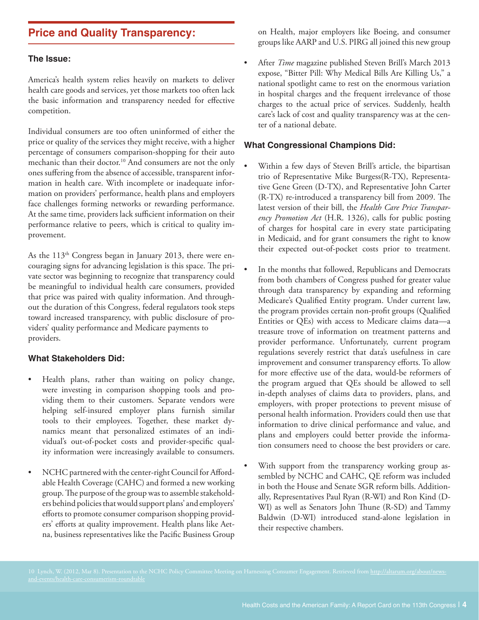### **Price and Quality Transparency:**

#### **The Issue:**

America's health system relies heavily on markets to deliver health care goods and services, yet those markets too often lack the basic information and transparency needed for effective competition.

Individual consumers are too often uninformed of either the price or quality of the services they might receive, with a higher percentage of consumers comparison-shopping for their auto mechanic than their doctor.<sup>10</sup> And consumers are not the only ones suffering from the absence of accessible, transparent information in health care. With incomplete or inadequate information on providers' performance, health plans and employers face challenges forming networks or rewarding performance. At the same time, providers lack sufficient information on their performance relative to peers, which is critical to quality improvement.

As the  $113<sup>th</sup>$  Congress began in January 2013, there were encouraging signs for advancing legislation is this space. The private sector was beginning to recognize that transparency could be meaningful to individual health care consumers, provided that price was paired with quality information. And throughout the duration of this Congress, federal regulators took steps toward increased transparency, with public disclosure of providers' quality performance and Medicare payments to providers.

#### **What Stakeholders Did:**

- Health plans, rather than waiting on policy change, were investing in comparison shopping tools and providing them to their customers. Separate vendors were helping self-insured employer plans furnish similar tools to their employees. Together, these market dynamics meant that personalized estimates of an individual's out-of-pocket costs and provider-specific quality information were increasingly available to consumers.
- NCHC partnered with the center-right Council for Affordable Health Coverage (CAHC) and formed a new working group. The purpose of the group was to assemble stakeholders behind policies that would support plans' and employers' efforts to promote consumer comparison shopping providers' efforts at quality improvement. Health plans like Aetna, business representatives like the Pacific Business Group

on Health, major employers like Boeing, and consumer groups like AARP and U.S. PIRG all joined this new group

After *Time* magazine published Steven Brill's March 2013 expose, "Bitter Pill: Why Medical Bills Are Killing Us," a national spotlight came to rest on the enormous variation in hospital charges and the frequent irrelevance of those charges to the actual price of services. Suddenly, health care's lack of cost and quality transparency was at the center of a national debate.

#### **What Congressional Champions Did:**

- Within a few days of Steven Brill's article, the bipartisan trio of Representative Mike Burgess(R-TX), Representative Gene Green (D-TX), and Representative John Carter (R-TX) re-introduced a transparency bill from 2009. The latest version of their bill, the *Health Care Price Transparency Promotion Act* (H.R. 1326), calls for public posting of charges for hospital care in every state participating in Medicaid, and for grant consumers the right to know their expected out-of-pocket costs prior to treatment.
- In the months that followed, Republicans and Democrats from both chambers of Congress pushed for greater value through data transparency by expanding and reforming Medicare's Qualified Entity program. Under current law, the program provides certain non-profit groups (Qualified Entities or QEs) with access to Medicare claims data—a treasure trove of information on treatment patterns and provider performance. Unfortunately, current program regulations severely restrict that data's usefulness in care improvement and consumer transparency efforts. To allow for more effective use of the data, would-be reformers of the program argued that QEs should be allowed to sell in-depth analyses of claims data to providers, plans, and employers, with proper protections to prevent misuse of personal health information. Providers could then use that information to drive clinical performance and value, and plans and employers could better provide the information consumers need to choose the best providers or care.
- With support from the transparency working group assembled by NCHC and CAHC, QE reform was included in both the House and Senate SGR reform bills. Additionally, Representatives Paul Ryan (R-WI) and Ron Kind (D-WI) as well as Senators John Thune (R-SD) and Tammy Baldwin (D-WI) introduced stand-alone legislation in their respective chambers.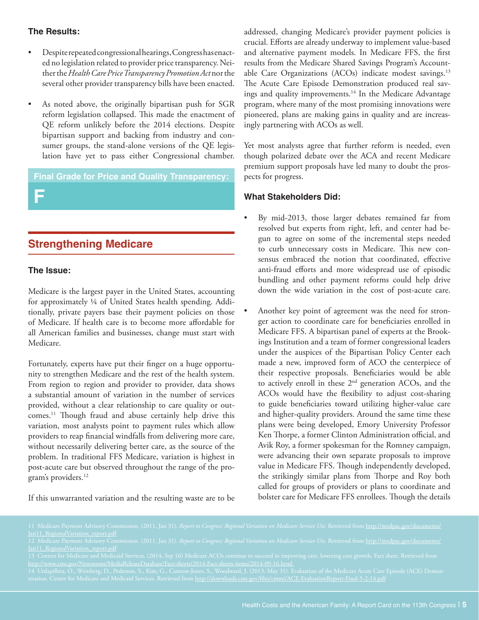#### **The Results:**

- Despite repeated congressional hearings, Congress has enacted no legislation related to provider price transparency. Neither the *Health Care Price Transparency Promotion Act* nor the several other provider transparency bills have been enacted.
- As noted above, the originally bipartisan push for SGR reform legislation collapsed. This made the enactment of QE reform unlikely before the 2014 elections. Despite bipartisan support and backing from industry and consumer groups, the stand-alone versions of the QE legislation have yet to pass either Congressional chamber.

#### **Final Grade for Price and Quality Transparency:**

**F**

# **Strengthening Medicare**

#### **The Issue:**

Medicare is the largest payer in the United States, accounting for approximately ¼ of United States health spending. Additionally, private payers base their payment policies on those of Medicare. If health care is to become more affordable for all American families and businesses, change must start with Medicare.

Fortunately, experts have put their finger on a huge opportunity to strengthen Medicare and the rest of the health system. From region to region and provider to provider, data shows a substantial amount of variation in the number of services provided, without a clear relationship to care quality or outcomes.11 Though fraud and abuse certainly help drive this variation, most analysts point to payment rules which allow providers to reap financial windfalls from delivering more care, without necessarily delivering better care, as the source of the problem. In traditional FFS Medicare, variation is highest in post-acute care but observed throughout the range of the program's providers.<sup>12</sup>

addressed, changing Medicare's provider payment policies is crucial. Efforts are already underway to implement value-based and alternative payment models. In Medicare FFS, the first results from the Medicare Shared Savings Program's Accountable Care Organizations (ACOs) indicate modest savings.<sup>13</sup> The Acute Care Episode Demonstration produced real savings and quality improvements.<sup>14</sup> In the Medicare Advantage program, where many of the most promising innovations were pioneered, plans are making gains in quality and are increasingly partnering with ACOs as well.

Yet most analysts agree that further reform is needed, even though polarized debate over the ACA and recent Medicare premium support proposals have led many to doubt the prospects for progress.

#### **What Stakeholders Did:**

- By mid-2013, those larger debates remained far from resolved but experts from right, left, and center had begun to agree on some of the incremental steps needed to curb unnecessary costs in Medicare. This new consensus embraced the notion that coordinated, effective anti-fraud efforts and more widespread use of episodic bundling and other payment reforms could help drive down the wide variation in the cost of post-acute care.
- Another key point of agreement was the need for stronger action to coordinate care for beneficiaries enrolled in Medicare FFS. A bipartisan panel of experts at the Brookings Institution and a team of former congressional leaders under the auspices of the Bipartisan Policy Center each made a new, improved form of ACO the centerpiece of their respective proposals. Beneficiaries would be able to actively enroll in these 2nd generation ACOs, and the ACOs would have the flexibility to adjust cost-sharing to guide beneficiaries toward utilizing higher-value care and higher-quality providers. Around the same time these plans were being developed, Emory University Professor Ken Thorpe, a former Clinton Administration official, and Avik Roy, a former spokesman for the Romney campaign, were advancing their own separate proposals to improve value in Medicare FFS. Though independently developed, the strikingly similar plans from Thorpe and Roy both called for groups of providers or plans to coordinate and bolster care for Medicare FFS enrollees. Though the details

If this unwarranted variation and the resulting waste are to be

Jan11\_RegionalVariation\_report.pdf

http://www.cms.gov/Newsroom/MediaReleaseDatabase/Fact-sheets/2014-Fact-sheets-items/2014-09-16.html

stration. Center for Medicare and Medicaid Services. Retrieved from <u>http://downloads.cms.gov/files/cmmi/ACE-EvaluationReport-Final-5-2-14.pdf</u>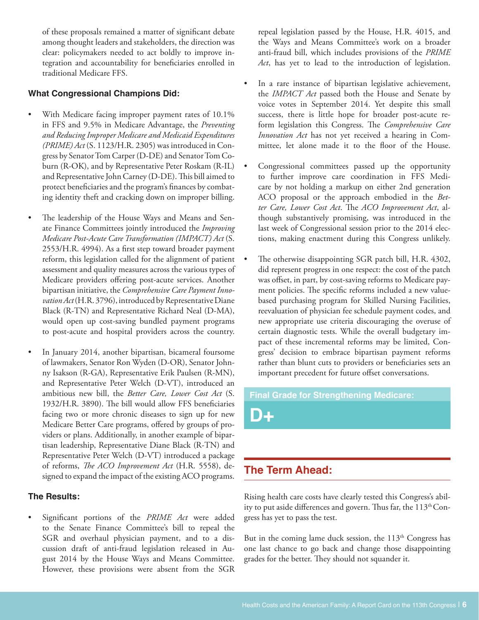of these proposals remained a matter of significant debate among thought leaders and stakeholders, the direction was clear: policymakers needed to act boldly to improve integration and accountability for beneficiaries enrolled in traditional Medicare FFS.

#### **What Congressional Champions Did:**

- With Medicare facing improper payment rates of 10.1% in FFS and 9.5% in Medicare Advantage, the *Preventing and Reducing Improper Medicare and Medicaid Expenditures (PRIME) Act* (S. 1123/H.R. 2305) was introduced in Congress by Senator Tom Carper (D-DE) and Senator Tom Coburn (R-OK), and by Representative Peter Roskam (R-IL) and Representative John Carney (D-DE). This bill aimed to protect beneficiaries and the program's finances by combating identity theft and cracking down on improper billing.
- The leadership of the House Ways and Means and Senate Finance Committees jointly introduced the *Improving Medicare Post-Acute Care Transformation (IMPACT) Act* (S. 2553/H.R. 4994). As a first step toward broader payment reform, this legislation called for the alignment of patient assessment and quality measures across the various types of Medicare providers offering post-acute services. Another bipartisan initiative, the *Comprehensive Care Payment Innovation Act* (H.R. 3796), introduced by Representative Diane Black (R-TN) and Representative Richard Neal (D-MA), would open up cost-saving bundled payment programs to post-acute and hospital providers across the country.
- In January 2014, another bipartisan, bicameral foursome of lawmakers, Senator Ron Wyden (D-OR), Senator Johnny Isakson (R-GA), Representative Erik Paulsen (R-MN), and Representative Peter Welch (D-VT), introduced an ambitious new bill, the *Better Care, Lower Cost Act* (S. 1932/H.R. 3890). The bill would allow FFS beneficiaries facing two or more chronic diseases to sign up for new Medicare Better Care programs, offered by groups of providers or plans. Additionally, in another example of bipartisan leadership, Representative Diane Black (R-TN) and Representative Peter Welch (D-VT) introduced a package of reforms, *The ACO Improvement Act* (H.R. 5558), designed to expand the impact of the existing ACO programs.

#### **The Results:**

Significant portions of the *PRIME Act* were added to the Senate Finance Committee's bill to repeal the SGR and overhaul physician payment, and to a discussion draft of anti-fraud legislation released in August 2014 by the House Ways and Means Committee. However, these provisions were absent from the SGR

repeal legislation passed by the House, H.R. 4015, and the Ways and Means Committee's work on a broader anti-fraud bill, which includes provisions of the *PRIME Act*, has yet to lead to the introduction of legislation.

- In a rare instance of bipartisan legislative achievement, the *IMPACT Act* passed both the House and Senate by voice votes in September 2014. Yet despite this small success, there is little hope for broader post-acute reform legislation this Congress. The *Comprehensive Care Innovation Act* has not yet received a hearing in Committee, let alone made it to the floor of the House.
- Congressional committees passed up the opportunity to further improve care coordination in FFS Medicare by not holding a markup on either 2nd generation ACO proposal or the approach embodied in the *Better Care, Lower Cost Act*. The *ACO Improvement Act*, although substantively promising, was introduced in the last week of Congressional session prior to the 2014 elections, making enactment during this Congress unlikely.
- The otherwise disappointing SGR patch bill, H.R. 4302, did represent progress in one respect: the cost of the patch was offset, in part, by cost-saving reforms to Medicare payment policies. The specific reforms included a new valuebased purchasing program for Skilled Nursing Facilities, reevaluation of physician fee schedule payment codes, and new appropriate use criteria discouraging the overuse of certain diagnostic tests. While the overall budgetary impact of these incremental reforms may be limited, Congress' decision to embrace bipartisan payment reforms rather than blunt cuts to providers or beneficiaries sets an important precedent for future offset conversations.

#### **Final Grade for Strengthening Medicare:**

**D+**

### **The Term Ahead:**

Rising health care costs have clearly tested this Congress's ability to put aside differences and govern. Thus far, the  $113<sup>th</sup>Con$ gress has yet to pass the test.

But in the coming lame duck session, the  $113<sup>th</sup>$  Congress has one last chance to go back and change those disappointing grades for the better. They should not squander it.